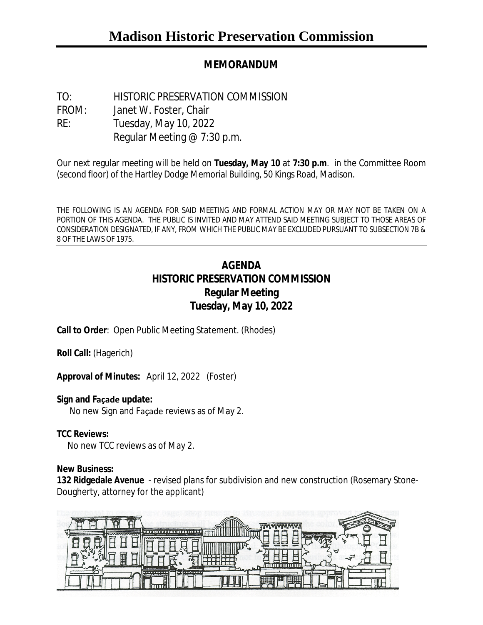# **MEMORANDUM**

TO: HISTORIC PRESERVATION COMMISSION FROM: Janet W. Foster, Chair RE: Tuesday, May 10, 2022 Regular Meeting @ 7:30 p.m.

Our next regular meeting will be held on **Tuesday, May 10** at **7:30 p.m**. in the Committee Room (second floor) of the Hartley Dodge Memorial Building, 50 Kings Road, Madison.

THE FOLLOWING IS AN AGENDA FOR SAID MEETING AND FORMAL ACTION MAY OR MAY NOT BE TAKEN ON A PORTION OF THIS AGENDA. THE PUBLIC IS INVITED AND MAY ATTEND SAID MEETING SUBJECT TO THOSE AREAS OF CONSIDERATION DESIGNATED, IF ANY, FROM WHICH THE PUBLIC MAY BE EXCLUDED PURSUANT TO SUBSECTION 7B & 8 OF THE LAWS OF 1975.

# **AGENDA HISTORIC PRESERVATION COMMISSION Regular Meeting Tuesday, May 10, 2022**

**Call to Order**: Open Public Meeting Statement. (Rhodes)

**Roll Call:** (Hagerich)

**Approval of Minutes:** April 12, 2022 (Foster)

#### **Sign and Façade update:**

No new Sign and Façade reviews as of May 2.

#### **TCC Reviews:**

No new TCC reviews as of May 2.

#### **New Business:**

**132 Ridgedale Avenue** - revised plans for subdivision and new construction (Rosemary Stone-Dougherty, attorney for the applicant)